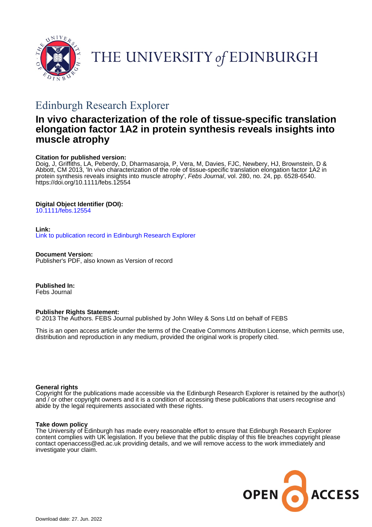

# THE UNIVERSITY of EDINBURGH

## Edinburgh Research Explorer

## **In vivo characterization of the role of tissue-specific translation elongation factor 1A2 in protein synthesis reveals insights into muscle atrophy**

#### **Citation for published version:**

Doig, J, Griffiths, LA, Peberdy, D, Dharmasaroja, P, Vera, M, Davies, FJC, Newbery, HJ, Brownstein, D & Abbott, CM 2013, 'In vivo characterization of the role of tissue-specific translation elongation factor 1A2 in protein synthesis reveals insights into muscle atrophy', Febs Journal, vol. 280, no. 24, pp. 6528-6540. <https://doi.org/10.1111/febs.12554>

#### **Digital Object Identifier (DOI):**

[10.1111/febs.12554](https://doi.org/10.1111/febs.12554)

#### **Link:**

[Link to publication record in Edinburgh Research Explorer](https://www.research.ed.ac.uk/en/publications/71501528-23c8-4e3c-8c13-fac234760808)

**Document Version:** Publisher's PDF, also known as Version of record

**Published In:** Febs Journal

#### **Publisher Rights Statement:**

© 2013 The Authors. FEBS Journal published by John Wiley & Sons Ltd on behalf of FEBS

This is an open access article under the terms of the Creative Commons Attribution License, which permits use, distribution and reproduction in any medium, provided the original work is properly cited.

#### **General rights**

Copyright for the publications made accessible via the Edinburgh Research Explorer is retained by the author(s) and / or other copyright owners and it is a condition of accessing these publications that users recognise and abide by the legal requirements associated with these rights.

#### **Take down policy**

The University of Edinburgh has made every reasonable effort to ensure that Edinburgh Research Explorer content complies with UK legislation. If you believe that the public display of this file breaches copyright please contact openaccess@ed.ac.uk providing details, and we will remove access to the work immediately and investigate your claim.

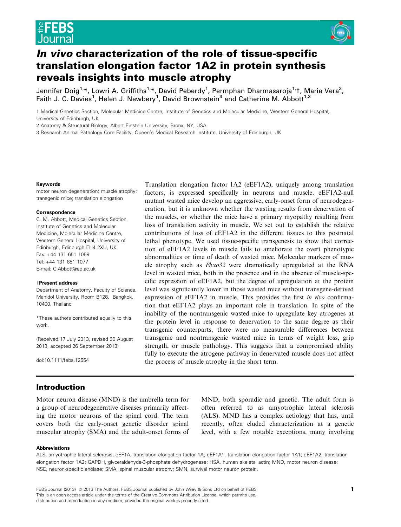

### In vivo characterization of the role of tissue-specific translation elongation factor 1A2 in protein synthesis reveals insights into muscle atrophy

Jennifer Doig<sup>1,</sup>\*, Lowri A. Griffiths<sup>1,</sup>\*, David Peberdy<sup>1</sup>, Permphan Dharmasaroja<sup>1,</sup>†, Maria Vera<sup>2</sup>, Faith J. C. Davies<sup>1</sup>, Helen J. Newbery<sup>1</sup>, David Brownstein<sup>3</sup> and Catherine M. Abbott<sup>1,3</sup>

1 Medical Genetics Section, Molecular Medicine Centre, Institute of Genetics and Molecular Medicine, Western General Hospital, University of Edinburgh, UK

2 Anatomy & Structural Biology, Albert Einstein University, Bronx, NY, USA

3 Research Animal Pathology Core Facility, Queen's Medical Research Institute, University of Edinburgh, UK

#### Keywords

motor neuron degeneration; muscle atrophy; transgenic mice; translation elongation

#### Correspondence

C. M. Abbott, Medical Genetics Section, Institute of Genetics and Molecular Medicine, Molecular Medicine Centre, Western General Hospital, University of Edinburgh, Edinburgh EH4 2XU, UK Fax: +44 131 651 1059 Tel: +44 131 651 1077 E-mail: C.Abbott@ed.ac.uk

#### †Present address

Department of Anatomy, Faculty of Science, Mahidol University, Room B128, Bangkok, 10400, Thailand

\*These authors contributed equally to this work.

(Received 17 July 2013, revised 30 August 2013, accepted 26 September 2013)

doi:10.1111/febs.12554

Translation elongation factor 1A2 (eEF1A2), uniquely among translation factors, is expressed specifically in neurons and muscle. eEF1A2-null mutant wasted mice develop an aggressive, early-onset form of neurodegeneration, but it is unknown whether the wasting results from denervation of the muscles, or whether the mice have a primary myopathy resulting from loss of translation activity in muscle. We set out to establish the relative contributions of loss of eEF1A2 in the different tissues to this postnatal lethal phenotype. We used tissue-specific transgenesis to show that correction of eEF1A2 levels in muscle fails to ameliorate the overt phenotypic abnormalities or time of death of wasted mice. Molecular markers of muscle atrophy such as Fbxo32 were dramatically upregulated at the RNA level in wasted mice, both in the presence and in the absence of muscle-specific expression of eEF1A2, but the degree of upregulation at the protein level was significantly lower in those wasted mice without transgene-derived expression of eEF1A2 in muscle. This provides the first in vivo confirmation that eEF1A2 plays an important role in translation. In spite of the inability of the nontransgenic wasted mice to upregulate key atrogenes at the protein level in response to denervation to the same degree as their transgenic counterparts, there were no measurable differences between transgenic and nontransgenic wasted mice in terms of weight loss, grip strength, or muscle pathology. This suggests that a compromised ability fully to execute the atrogene pathway in denervated muscle does not affect the process of muscle atrophy in the short term.

#### Introduction

Motor neuron disease (MND) is the umbrella term for a group of neurodegenerative diseases primarily affecting the motor neurons of the spinal cord. The term covers both the early-onset genetic disorder spinal muscular atrophy (SMA) and the adult-onset forms of

MND, both sporadic and genetic. The adult form is often referred to as amyotrophic lateral sclerosis (ALS). MND has a complex aetiology that has, until recently, often eluded characterization at a genetic level, with a few notable exceptions, many involving

#### Abbreviations

ALS, amyotrophic lateral sclerosis; eEF1A, translation elongation factor 1A; eEF1A1, translation elongation factor 1A1; eEF1A2, translation elongation factor 1A2; GAPDH, glyceraldehyde-3-phosphate dehydrogenase; HSA, human skeletal actin; MND, motor neuron disease; NSE, neuron-specific enolase; SMA, spinal muscular atrophy; SMN, survival motor neuron protein.

FEBS Journal (2013) © 2013 The Authors. FEBS Journal published by John Wiley & Sons Ltd on behalf of FEBS 1999 1999 This is an open access article under the terms of the [Creative Commons Attribution](http://creativecommons.org/licenses/by/3.0/) License, which permits use, distribution and reproduction in any medium, provided the original work is properly cited.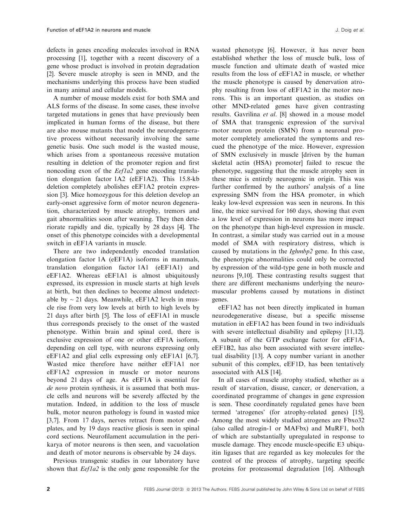defects in genes encoding molecules involved in RNA processing [1], together with a recent discovery of a gene whose product is involved in protein degradation [2]. Severe muscle atrophy is seen in MND, and the mechanisms underlying this process have been studied in many animal and cellular models.

A number of mouse models exist for both SMA and ALS forms of the disease. In some cases, these involve targeted mutations in genes that have previously been implicated in human forms of the disease, but there are also mouse mutants that model the neurodegenerative process without necessarily involving the same genetic basis. One such model is the wasted mouse, which arises from a spontaneous recessive mutation resulting in deletion of the promoter region and first noncoding exon of the *Eefla2* gene encoding translation elongation factor 1A2 (eEF1A2). This 15.8-kb deletion completely abolishes eEF1A2 protein expression [3]. Mice homozygous for this deletion develop an early-onset aggressive form of motor neuron degeneration, characterized by muscle atrophy, tremors and gait abnormalities soon after weaning. They then deteriorate rapidly and die, typically by 28 days [4]. The onset of this phenotype coincides with a developmental switch in eEF1A variants in muscle.

There are two independently encoded translation elongation factor 1A (eEF1A) isoforms in mammals, translation elongation factor 1A1 (eEF1A1) and eEF1A2. Whereas eEF1A1 is almost ubiquitously expressed, its expression in muscle starts at high levels at birth, but then declines to become almost undetectable by  $\sim$  21 days. Meanwhile, eEF1A2 levels in muscle rise from very low levels at birth to high levels by 21 days after birth [5]. The loss of eEF1A1 in muscle thus corresponds precisely to the onset of the wasted phenotype. Within brain and spinal cord, there is exclusive expression of one or other eEF1A isoform, depending on cell type, with neurons expressing only eEF1A2 and glial cells expressing only eEF1A1 [6,7]. Wasted mice therefore have neither eEF1A1 nor eEF1A2 expression in muscle or motor neurons beyond 21 days of age. As eEF1A is essential for de novo protein synthesis, it is assumed that both muscle cells and neurons will be severely affected by the mutation. Indeed, in addition to the loss of muscle bulk, motor neuron pathology is found in wasted mice [3,7]. From 17 days, nerves retract from motor endplates, and by 19 days reactive gliosis is seen in spinal cord sections. Neurofilament accumulation in the perikarya of motor neurons is then seen, and vacuolation and death of motor neurons is observable by 24 days.

Previous transgenic studies in our laboratory have shown that *Eef1a2* is the only gene responsible for the

wasted phenotype [6]. However, it has never been established whether the loss of muscle bulk, loss of muscle function and ultimate death of wasted mice results from the loss of eEF1A2 in muscle, or whether the muscle phenotype is caused by denervation atrophy resulting from loss of eEF1A2 in the motor neurons. This is an important question, as studies on other MND-related genes have given contrasting results. Gavrilina et al. [8] showed in a mouse model of SMA that transgenic expression of the survival motor neuron protein (SMN) from a neuronal promoter completely ameliorated the symptoms and rescued the phenotype of the mice. However, expression of SMN exclusively in muscle [driven by the human skeletal actin (HSA) promoter] failed to rescue the phenotype, suggesting that the muscle atrophy seen in these mice is entirely neurogenic in origin. This was further confirmed by the authors' analysis of a line expressing SMN from the HSA promoter, in which leaky low-level expression was seen in neurons. In this line, the mice survived for 160 days, showing that even a low level of expression in neurons has more impact on the phenotype than high-level expression in muscle. In contrast, a similar study was carried out in a mouse model of SMA with respiratory distress, which is caused by mutations in the Ighmbp2 gene. In this case, the phenotypic abnormalities could only be corrected by expression of the wild-type gene in both muscle and neurons [9,10]. These contrasting results suggest that there are different mechanisms underlying the neuromuscular problems caused by mutations in distinct genes.

eEF1A2 has not been directly implicated in human neurodegenerative disease, but a specific missense mutation in eEF1A2 has been found in two individuals with severe intellectual disability and epilepsy [11,12]. A subunit of the GTP exchange factor for eEF1A, eEF1B2, has also been associated with severe intellectual disability [13]. A copy number variant in another subunit of this complex, eEF1D, has been tentatively associated with ALS [14].

In all cases of muscle atrophy studied, whether as a result of starvation, disuse, cancer, or denervation, a coordinated programme of changes in gene expression is seen. These coordinately regulated genes have been termed 'atrogenes' (for atrophy-related genes) [15]. Among the most widely studied atrogenes are Fbxo32 (also called atrogin-1 or MAFbx) and MuRF1, both of which are substantially upregulated in response to muscle damage. They encode muscle-specific E3 ubiquitin ligases that are regarded as key molecules for the control of the process of atrophy, targeting specific proteins for proteasomal degradation [16]. Although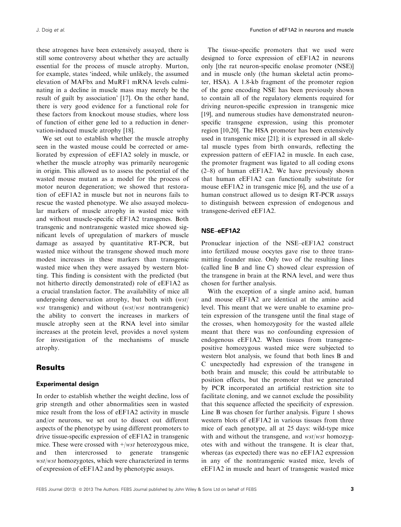these atrogenes have been extensively assayed, there is still some controversy about whether they are actually essential for the process of muscle atrophy. Murton, for example, states 'indeed, while unlikely, the assumed elevation of MAFbx and MuRF1 mRNA levels culminating in a decline in muscle mass may merely be the result of guilt by association' [17]. On the other hand, there is very good evidence for a functional role for these factors from knockout mouse studies, where loss of function of either gene led to a reduction in denervation-induced muscle atrophy [18].

We set out to establish whether the muscle atrophy seen in the wasted mouse could be corrected or ameliorated by expression of eEF1A2 solely in muscle, or whether the muscle atrophy was primarily neurogenic in origin. This allowed us to assess the potential of the wasted mouse mutant as a model for the process of motor neuron degeneration; we showed that restoration of eEF1A2 in muscle but not in neurons fails to rescue the wasted phenotype. We also assayed molecular markers of muscle atrophy in wasted mice with and without muscle-specific eEF1A2 transgenes. Both transgenic and nontransgenic wasted mice showed significant levels of upregulation of markers of muscle damage as assayed by quantitative RT-PCR, but wasted mice without the transgene showed much more modest increases in these markers than transgenic wasted mice when they were assayed by western blotting. This finding is consistent with the predicted (but not hitherto directly demonstrated) role of eEF1A2 as a crucial translation factor. The availability of mice all undergoing denervation atrophy, but both with (wst/ wst transgenic) and without (wst/wst nontransgenic) the ability to convert the increases in markers of muscle atrophy seen at the RNA level into similar increases at the protein level, provides a novel system for investigation of the mechanisms of muscle atrophy.

#### **Results**

#### Experimental design

In order to establish whether the weight decline, loss of grip strength and other abnormalities seen in wasted mice result from the loss of eEF1A2 activity in muscle and/or neurons, we set out to dissect out different aspects of the phenotype by using different promoters to drive tissue-specific expression of eEF1A2 in transgenic mice. These were crossed with  $\pm$ /*wst* heterozygous mice, and then intercrossed to generate transgenic wst/wst homozygotes, which were characterized in terms of expression of eEF1A2 and by phenotypic assays.

The tissue-specific promoters that we used were designed to force expression of eEF1A2 in neurons only [the rat neuron-specific enolase promoter (NSE)] and in muscle only (the human skeletal actin promoter, HSA). A 1.8-kb fragment of the promoter region of the gene encoding NSE has been previously shown to contain all of the regulatory elements required for driving neuron-specific expression in transgenic mice [19], and numerous studies have demonstrated neuronspecific transgene expression, using this promoter region [10,20]. The HSA promoter has been extensively used in transgenic mice [21]; it is expressed in all skeletal muscle types from birth onwards, reflecting the expression pattern of eEF1A2 in muscle. In each case, the promoter fragment was ligated to all coding exons (2–8) of human eEF1A2. We have previously shown that human eEF1A2 can functionally substitute for mouse eEF1A2 in transgenic mice [6], and the use of a human construct allowed us to design RT-PCR assays to distinguish between expression of endogenous and transgene-derived eEF1A2.

#### NSE–eEF1A2

Pronuclear injection of the NSE–eEF1A2 construct into fertilized mouse oocytes gave rise to three transmitting founder mice. Only two of the resulting lines (called line B and line C) showed clear expression of the transgene in brain at the RNA level, and were thus chosen for further analysis.

With the exception of a single amino acid, human and mouse eEF1A2 are identical at the amino acid level. This meant that we were unable to examine protein expression of the transgene until the final stage of the crosses, when homozygosity for the wasted allele meant that there was no confounding expression of endogenous eEF1A2. When tissues from transgenepositive homozygous wasted mice were subjected to western blot analysis, we found that both lines B and C unexpectedly had expression of the transgene in both brain and muscle; this could be attributable to position effects, but the promoter that we generated by PCR incorporated an artificial restriction site to facilitate cloning, and we cannot exclude the possibility that this sequence affected the specificity of expression. Line B was chosen for further analysis. Figure 1 shows western blots of eEF1A2 in various tissues from three mice of each genotype, all at 25 days: wild-type mice with and without the transgene, and *wst*/*wst* homozygotes with and without the transgene. It is clear that, whereas (as expected) there was no eEF1A2 expression in any of the nontransgenic wasted mice, levels of eEF1A2 in muscle and heart of transgenic wasted mice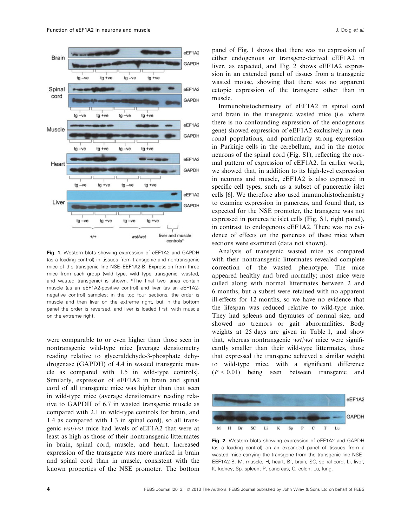

Fig. 1. Western blots showing expression of eEF1A2 and GAPDH (as a loading control) in tissues from transgenic and nontransgenic mice of the transgenic line NSE–EEF1A2-B. Expression from three mice from each group (wild type, wild type transgenic, wasted, and wasted transgenic) is shown. \*The final two lanes contain muscle (as an eEF1A2-positive control) and liver (as an eEF1A2 negative control) samples; in the top four sections, the order is muscle and then liver on the extreme right, but in the bottom panel the order is reversed, and liver is loaded first, with muscle on the extreme right.

were comparable to or even higher than those seen in nontransgenic wild-type mice [average densitometry reading relative to glyceraldehyde-3-phosphate dehydrogenase (GAPDH) of 4.4 in wasted transgenic muscle as compared with 1.5 in wild-type controls]. Similarly, expression of eEF1A2 in brain and spinal cord of all transgenic mice was higher than that seen in wild-type mice (average densitometry reading relative to GAPDH of 6.7 in wasted transgenic muscle as compared with 2.1 in wild-type controls for brain, and 1.4 as compared with 1.3 in spinal cord), so all transgenic wst/wst mice had levels of eEF1A2 that were at least as high as those of their nontransgenic littermates in brain, spinal cord, muscle, and heart. Increased expression of the transgene was more marked in brain and spinal cord than in muscle, consistent with the known properties of the NSE promoter. The bottom

panel of Fig. 1 shows that there was no expression of either endogenous or transgene-derived eEF1A2 in liver, as expected, and Fig. 2 shows eEF1A2 expression in an extended panel of tissues from a transgenic wasted mouse, showing that there was no apparent ectopic expression of the transgene other than in muscle.

Immunohistochemistry of eEF1A2 in spinal cord and brain in the transgenic wasted mice (i.e. where there is no confounding expression of the endogenous gene) showed expression of eEF1A2 exclusively in neuronal populations, and particularly strong expression in Purkinje cells in the cerebellum, and in the motor neurons of the spinal cord (Fig. S1), reflecting the normal pattern of expression of eEF1A2. In earlier work, we showed that, in addition to its high-level expression in neurons and muscle, eEF1A2 is also expressed in specific cell types, such as a subset of pancreatic islet cells [6]. We therefore also used immunohistochemistry to examine expression in pancreas, and found that, as expected for the NSE promoter, the transgene was not expressed in pancreatic islet cells (Fig. S1, right panel), in contrast to endogenous eEF1A2. There was no evidence of effects on the pancreas of these mice when sections were examined (data not shown).

Analysis of transgenic wasted mice as compared with their nontransgenic littermates revealed complete correction of the wasted phenotype. The mice appeared healthy and bred normally; most mice were culled along with normal littermates between 2 and 6 months, but a subset were retained with no apparent ill-effects for 12 months, so we have no evidence that the lifespan was reduced relative to wild-type mice. They had spleens and thymuses of normal size, and showed no tremors or gait abnormalities. Body weights at 25 days are given in Table 1, and show that, whereas nontransgenic  $wst/wst$  mice were significantly smaller than their wild-type littermates, those that expressed the transgene achieved a similar weight to wild-type mice, with a significant difference  $(P < 0.01)$  being seen between transgenic and



Fig. 2. Western blots showing expression of eEF1A2 and GAPDH (as a loading control) on an expanded panel of tissues from a wasted mice carrying the transgene from the transgenic line NSE– EEF1A2-B. M, muscle; H, heart; Br, brain; SC, spinal cord; Li, liver; K, kidney; Sp, spleen; P, pancreas; C, colon; Lu, lung.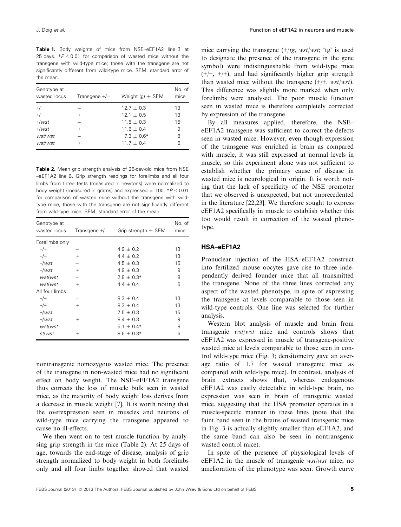Table 1. Body weights of mice from NSE–eEF1A2 line B at 25 days.  $*P < 0.01$  for comparison of wasted mice without the transgene with wild-type mice; those with the transgene are not significantly different from wild-type mice. SEM, standard error of the mean.

| Genotype at<br>wasted locus | Transgene $+/-$ | Weight (g) $\pm$ SEM | No. of<br>mice |
|-----------------------------|-----------------|----------------------|----------------|
| $+/+$                       | $^{+}$          | $12.7 + 0.3$         | 13             |
| $+/-$                       |                 | $12.1 + 0.5$         | 13             |
| $+\sqrt{wst}$               |                 | $11.5 + 0.3$         | 15             |
| $+$ /wst                    | $^{+}$          | $11.6 + 0.4$         | 9              |
| wst/wst                     |                 | $7.3 \pm 0.6*$       | 8              |
| wst/wst                     |                 | $11.7 + 0.4$         | 6              |

Table 2. Mean grip strength analysis of 25-day-old mice from NSE –eEF1A2 line B. Grip strength readings for forelimbs and all four limbs from three tests (measured in newtons) were normalized to body weight (measured in grams) and expressed  $\times$  100.  $*P < 0.01$ for comparison of wasted mice without the transgene with wildtype mice; those with the transgene are not significantly different from wild-type mice. SEM, standard error of the mean.

| Genotype at<br>wasted locus | Transgene $+/-$ | Grip strength $\pm$ SEM | No. of<br>mice |
|-----------------------------|-----------------|-------------------------|----------------|
| Forelimbs only              |                 |                         |                |
| $+/+$                       |                 | $4.9 + 0.2$             | 13             |
| $+/-$                       | $^{+}$          | $4.4 + 0.2$             | 13             |
| $+\omega st$                |                 | $4.5 \pm 0.3$           | 15             |
| $+\omega st$                | $+$             | $4.9 + 0.3$             | 9              |
| wst/wst                     |                 | $2.8 \pm 0.3*$          | 8              |
| wst/wst                     | $+$             | $4.4 + 0.4$             | 6              |
| All four limbs              |                 |                         |                |
| $+/+$                       |                 | $8.3 + 0.4$             | 13             |
| $+/+$                       | $^{+}$          | $8.3 \pm 0.4$           | 13             |
| $+$ /wst                    |                 | $7.5 \pm 0.3$           | 15             |
| $+\omega st$                | $^{+}$          | $8.4 \pm 0.3$           | 9              |
| wst/wst                     |                 | $6.1 \pm 0.4*$          | 8              |
| st/wst                      | $^{+}$          | $8.6 \pm 0.3*$          | 6              |

nontransgenic homozygous wasted mice. The presence of the transgene in non-wasted mice had no significant effect on body weight. The NSE–eEF1A2 transgene thus corrects the loss of muscle bulk seen in wasted mice, as the majority of body weight loss derives from a decrease in muscle weight [7]. It is worth noting that the overexpression seen in muscles and neurons of wild-type mice carrying the transgene appeared to cause no ill-effects.

We then went on to test muscle function by analysing grip strength in the mice (Table 2). At 25 days of age, towards the end-stage of disease, analysis of grip strength normalized to body weight in both forelimbs only and all four limbs together showed that wasted

mice carrying the transgene  $(+/tg, wst/wst; 'tg'$  is used to designate the presence of the transgene in the gene symbol) were indistinguishable from wild-type mice  $(+/+, +/+)$ , and had significantly higher grip strength than wasted mice without the transgene  $(+/+, wst/wst)$ . This difference was slightly more marked when only forelimbs were analysed. The poor muscle function seen in wasted mice is therefore completely corrected by expression of the transgene.

By all measures applied, therefore, the NSE– eEF1A2 transgene was sufficient to correct the defects seen in wasted mice. However, even though expression of the transgene was enriched in brain as compared with muscle, it was still expressed at normal levels in muscle, so this experiment alone was not sufficient to establish whether the primary cause of disease in wasted mice is neurological in origin. It is worth noting that the lack of specificity of the NSE promoter that we observed is unexpected, but not unprecedented in the literature [22,23]. We therefore sought to express eEF1A2 specifically in muscle to establish whether this too would result in correction of the wasted phenotype.

#### HSA–eEF1A2

Pronuclear injection of the HSA–eEF1A2 construct into fertilized mouse oocytes gave rise to three independently derived founder mice that all transmitted the transgene. None of the three lines corrected any aspect of the wasted phenotype, in spite of expressing the transgene at levels comparable to those seen in wild-type controls. One line was selected for further analysis.

Western blot analysis of muscle and brain from transgenic wst/wst mice and controls shows that eEF1A2 was expressed in muscle of transgene-positive wasted mice at levels comparable to those seen in control wild-type mice (Fig. 3; densitometry gave an average ratio of 1.7 for wasted transgenic mice as compared with wild-type mice). In contrast, analysis of brain extracts shows that, whereas endogenous eEF1A2 was easily detectable in wild-type brain, no expression was seen in brain of transgenic wasted mice, suggesting that the HSA promoter operates in a muscle-specific manner in these lines (note that the faint band seen in the brains of wasted transgenic mice in Fig. 3 is actually slightly smaller than eEF1A2, and the same band can also be seen in nontransgenic wasted control mice).

In spite of the presence of physiological levels of eEF1A2 in the muscle of transgenic wst/wst mice, no amelioration of the phenotype was seen. Growth curve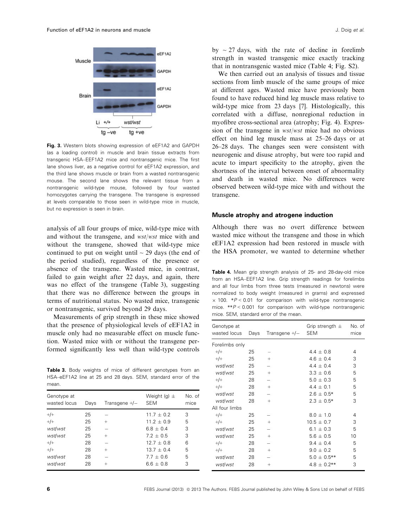

Fig. 3. Western blots showing expression of eEF1A2 and GAPDH (as a loading control) in muscle and brain tissue extracts from transgenic HSA–EEF1A2 mice and nontransgenic mice. The first lane shows liver, as a negative control for eEF1A2 expression, and the third lane shows muscle or brain from a wasted nontransgenic mouse. The second lane shows the relevant tissue from a nontransgenic wild-type mouse, followed by four wasted homozygotes carrying the transgene. The transgene is expressed at levels comparable to those seen in wild-type mice in muscle, but no expression is seen in brain.

analysis of all four groups of mice, wild-type mice with and without the transgene, and wst/wst mice with and without the transgene, showed that wild-type mice continued to put on weight until  $\sim$  29 days (the end of the period studied), regardless of the presence or absence of the transgene. Wasted mice, in contrast, failed to gain weight after 22 days, and again, there was no effect of the transgene (Table 3), suggesting that there was no difference between the groups in terms of nutritional status. No wasted mice, transgenic or nontransgenic, survived beyond 29 days.

Measurements of grip strength in these mice showed that the presence of physiological levels of eEF1A2 in muscle only had no measurable effect on muscle function. Wasted mice with or without the transgene performed significantly less well than wild-type controls

Table 3. Body weights of mice of different genotypes from an HSA–eEF1A2 line at 25 and 28 days. SEM, standard error of the mean.

| Genotype at<br>wasted locus | Days | Transgene $+/-$ | Weight (g) $\pm$<br><b>SEM</b> | No. of<br>mice |
|-----------------------------|------|-----------------|--------------------------------|----------------|
| $+/+$                       | 25   |                 | $11.7 \pm 0.2$                 | 3              |
| $+/+$                       | 25   | $+$             | $11.2 \pm 0.9$                 | 5              |
| wst/wst                     | 25   |                 | $6.8 + 0.4$                    | 3              |
| wst/wst                     | 25   | $+$             | $7.2 + 0.5$                    | 3              |
| $+/+$                       | 28   |                 | $12.7 + 0.8$                   | 6              |
| $+/+$                       | 28   | $+$             | $13.7 + 0.4$                   | 5              |
| wst/wst                     | 28   |                 | $7.7 + 0.6$                    | 5              |
| wst/wst                     | 28   | $^{+}$          | $6.6 + 0.8$                    | 3              |
|                             |      |                 |                                |                |

by  $\sim$  27 days, with the rate of decline in forelimb strength in wasted transgenic mice exactly tracking that in nontransgenic wasted mice (Table 4; Fig. S2).

We then carried out an analysis of tissues and tissue sections from limb muscle of the same groups of mice at different ages. Wasted mice have previously been found to have reduced hind leg muscle mass relative to wild-type mice from 23 days [7]. Histologically, this correlated with a diffuse, nonregional reduction in myofibre cross-sectional area (atrophy; Fig. 4). Expression of the transgene in wst/wst mice had no obvious effect on hind leg muscle mass at 25–26 days or at 26–28 days. The changes seen were consistent with neurogenic and disuse atrophy, but were too rapid and acute to impart specificity to the atrophy, given the shortness of the interval between onset of abnormality and death in wasted mice. No differences were observed between wild-type mice with and without the transgene.

#### Muscle atrophy and atrogene induction

Although there was no overt difference between wasted mice without the transgene and those in which eEF1A2 expression had been restored in muscle with the HSA promoter, we wanted to determine whether

Table 4. Mean grip strength analysis of 25- and 28-day-old mice from an HSA–EEF1A2 line. Grip strength readings for forelimbs and all four limbs from three tests (measured in newtons) were normalized to body weight (measured in grams) and expressed  $\times$  100. \*P < 0.01 for comparison with wild-type nontransgenic mice.  $*P < 0.001$  for comparison with wild-type nontransgenic mice. SEM, standard error of the mean.

| Genotype at<br>wasted locus | Days | Transgene +/- | Grip strength $\pm$<br><b>SEM</b> | No. of<br>mice |
|-----------------------------|------|---------------|-----------------------------------|----------------|
| Forelimbs only              |      |               |                                   |                |
| $+/+$                       | 25   |               | $4.4 + 0.8$                       | 4              |
| $+/+$                       | 25   | $^{+}$        | $4.6 \pm 0.4$                     | 3              |
| wst/wst                     | 25   |               | $4.4 + 0.4$                       | 3              |
| wst/wst                     | 25   | $+$           | $3.3 \pm 0.6$                     | 5              |
| $+/+$                       | 28   |               | $5.0 \pm 0.3$                     | 5              |
| $+$ /+                      | 28   | $^{+}$        | $4.4 \pm 0.1$                     | 5              |
| wst/wst                     | 28   |               | $2.6 \pm 0.5*$                    | 5              |
| wst/wst                     | 28   | $^{+}$        | $2.3 \pm 0.5*$                    | 3              |
| All four limbs              |      |               |                                   |                |
| $+/+$                       | 25   |               | $8.0 \pm 1.0$                     | 4              |
| $+/-$                       | 25   | $^{+}$        | $10.5 + 0.7$                      | 3              |
| wst/wst                     | 25   |               | $6.1 \pm 0.3$                     | 5              |
| wst/wst                     | 25   | $^{+}$        | $5.6 + 0.5$                       | 10             |
| $+/+$                       | 28   |               | $9.4 \pm 0.4$                     | 5              |
| $+/+$                       | 28   | $^{+}$        | $9.0 \pm 0.2$                     | 5              |
| wst/wst                     | 28   |               | $5.0 \pm 0.5$ **                  | 5              |
| wst/wst                     | 28   | $^{+}$        | $4.8 + 0.2**$                     | 3              |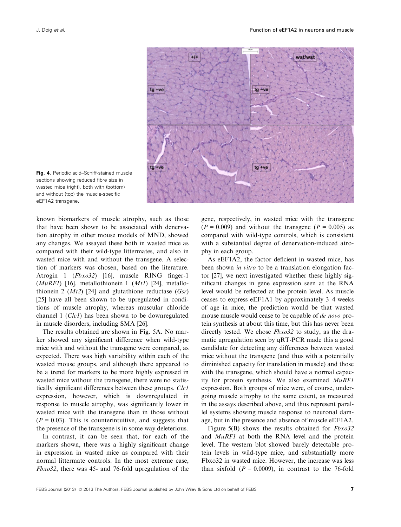

Fig. 4. Periodic acid-Schiff-stained muscle sections showing reduced fibre size in wasted mice (right), both with (bottom) and without (top) the muscle-specific eEF1A2 transgene.

known biomarkers of muscle atrophy, such as those that have been shown to be associated with denervation atrophy in other mouse models of MND, showed any changes. We assayed these both in wasted mice as compared with their wild-type littermates, and also in wasted mice with and without the transgene. A selection of markers was chosen, based on the literature. Atrogin 1 (Fbxo32) [16], muscle RING finger-1 ( $MuRF1$ ) [16], metallothionein 1 ( $Mt1$ ) [24], metallothionein 2  $(Mt2)$  [24] and glutathione reductase  $(Gsr)$ [25] have all been shown to be upregulated in conditions of muscle atrophy, whereas muscular chloride channel 1 (*Clc1*) has been shown to be downregulated in muscle disorders, including SMA [26].

The results obtained are shown in Fig. 5A. No marker showed any significant difference when wild-type mice with and without the transgene were compared, as expected. There was high variability within each of the wasted mouse groups, and although there appeared to be a trend for markers to be more highly expressed in wasted mice without the transgene, there were no statistically significant differences between these groups. Clc1 expression, however, which is downregulated in response to muscle atrophy, was significantly lower in wasted mice with the transgene than in those without  $(P = 0.03)$ . This is counterintuitive, and suggests that the presence of the transgene is in some way deleterious.

In contrast, it can be seen that, for each of the markers shown, there was a highly significant change in expression in wasted mice as compared with their normal littermate controls. In the most extreme case, Fbxo32, there was 45- and 76-fold upregulation of the

gene, respectively, in wasted mice with the transgene  $(P = 0.009)$  and without the transgene  $(P = 0.005)$  as compared with wild-type controls, which is consistent with a substantial degree of denervation-induced atrophy in each group.

As eEF1A2, the factor deficient in wasted mice, has been shown *in vitro* to be a translation elongation factor [27], we next investigated whether these highly significant changes in gene expression seen at the RNA level would be reflected at the protein level. As muscle ceases to express eEF1A1 by approximately 3–4 weeks of age in mice, the prediction would be that wasted mouse muscle would cease to be capable of *de novo* protein synthesis at about this time, but this has never been directly tested. We chose Fbxo32 to study, as the dramatic upregulation seen by qRT-PCR made this a good candidate for detecting any differences between wasted mice without the transgene (and thus with a potentially diminished capacity for translation in muscle) and those with the transgene, which should have a normal capacity for protein synthesis. We also examined MuRF1 expression. Both groups of mice were, of course, undergoing muscle atrophy to the same extent, as measured in the assays described above, and thus represent parallel systems showing muscle response to neuronal damage, but in the presence and absence of muscle eEF1A2.

Figure 5(B) shows the results obtained for  $Fbxo32$ and MuRF1 at both the RNA level and the protein level. The western blot showed barely detectable protein levels in wild-type mice, and substantially more Fbxo32 in wasted mice. However, the increase was less than sixfold  $(P = 0.0009)$ , in contrast to the 76-fold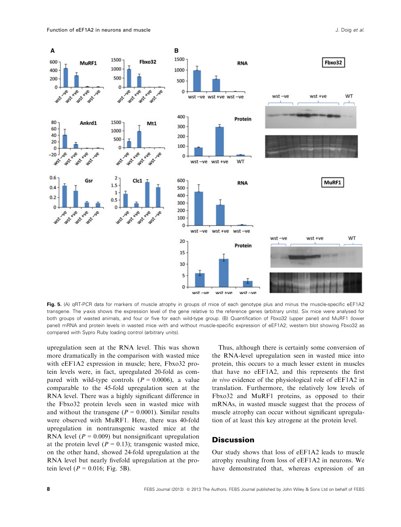

Fig. 5. (A) qRT-PCR data for markers of muscle atrophy in groups of mice of each genotype plus and minus the muscle-specific eEF1A2 transgene. The y-axis shows the expression level of the gene relative to the reference genes (arbitrary units). Six mice were analysed for both groups of wasted animals, and four or five for each wild-type group. (B) Quantification of Fbxo32 (upper panel) and MuRF1 (lower panel) mRNA and protein levels in wasted mice with and without muscle-specific expression of eEF1A2; western blot showing Fbxo32 as compared with Sypro Ruby loading control (arbitrary units).

upregulation seen at the RNA level. This was shown more dramatically in the comparison with wasted mice with eEF1A2 expression in muscle; here, Fbxo32 protein levels were, in fact, upregulated 20-fold as compared with wild-type controls  $(P = 0.0006)$ , a value comparable to the 45-fold upregulation seen at the RNA level. There was a highly significant difference in the Fbxo32 protein levels seen in wasted mice with and without the transgene ( $P = 0.0001$ ). Similar results were observed with MuRF1. Here, there was 40-fold upregulation in nontransgenic wasted mice at the RNA level ( $P = 0.009$ ) but nonsignificant upregulation at the protein level ( $P = 0.13$ ); transgenic wasted mice, on the other hand, showed 24-fold upregulation at the RNA level but nearly fivefold upregulation at the protein level ( $P = 0.016$ ; Fig. 5B).

Thus, although there is certainly some conversion of the RNA-level upregulation seen in wasted mice into protein, this occurs to a much lesser extent in muscles that have no eEF1A2, and this represents the first in vivo evidence of the physiological role of eEF1A2 in translation. Furthermore, the relatively low levels of Fbxo32 and MuRF1 proteins, as opposed to their mRNAs, in wasted muscle suggest that the process of muscle atrophy can occur without significant upregulation of at least this key atrogene at the protein level.

#### **Discussion**

Our study shows that loss of eEF1A2 leads to muscle atrophy resulting from loss of eEF1A2 in neurons. We have demonstrated that, whereas expression of an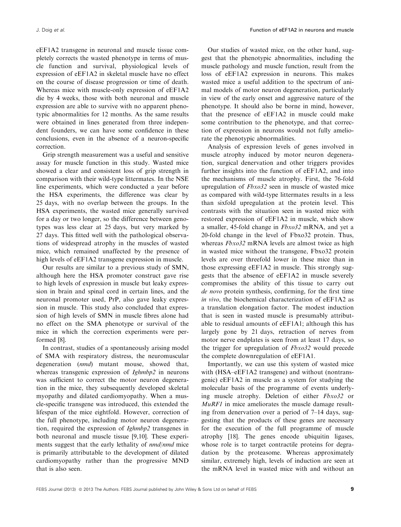eEF1A2 transgene in neuronal and muscle tissue completely corrects the wasted phenotype in terms of muscle function and survival, physiological levels of expression of eEF1A2 in skeletal muscle have no effect on the course of disease progression or time of death. Whereas mice with muscle-only expression of eEF1A2 die by 4 weeks, those with both neuronal and muscle expression are able to survive with no apparent phenotypic abnormalities for 12 months. As the same results were obtained in lines generated from three independent founders, we can have some confidence in these conclusions, even in the absence of a neuron-specific correction.

Grip strength measurement was a useful and sensitive assay for muscle function in this study. Wasted mice showed a clear and consistent loss of grip strength in comparison with their wild-type littermates. In the NSE line experiments, which were conducted a year before the HSA experiments, the difference was clear by 25 days, with no overlap between the groups. In the HSA experiments, the wasted mice generally survived for a day or two longer, so the difference between genotypes was less clear at 25 days, but very marked by 27 days. This fitted well with the pathological observations of widespread atrophy in the muscles of wasted mice, which remained unaffected by the presence of high levels of eEF1A2 transgene expression in muscle.

Our results are similar to a previous study of SMN, although here the HSA promoter construct gave rise to high levels of expression in muscle but leaky expression in brain and spinal cord in certain lines, and the neuronal promoter used, PrP, also gave leaky expression in muscle. This study also concluded that expression of high levels of SMN in muscle fibres alone had no effect on the SMA phenotype or survival of the mice in which the correction experiments were performed [8].

In contrast, studies of a spontaneously arising model of SMA with respiratory distress, the neuromuscular degeneration (nmd) mutant mouse, showed that, whereas transgenic expression of *Ighmbp2* in neurons was sufficient to correct the motor neuron degeneration in the mice, they subsequently developed skeletal myopathy and dilated cardiomyopathy. When a muscle-specific transgene was introduced, this extended the lifespan of the mice eightfold. However, correction of the full phenotype, including motor neuron degeneration, required the expression of Ighmbp2 transgenes in both neuronal and muscle tissue [9,10]. These experiments suggest that the early lethality of nmd/nmd mice is primarily attributable to the development of dilated cardiomyopathy rather than the progressive MND that is also seen.

Our studies of wasted mice, on the other hand, suggest that the phenotypic abnormalities, including the muscle pathology and muscle function, result from the loss of eEF1A2 expression in neurons. This makes wasted mice a useful addition to the spectrum of animal models of motor neuron degeneration, particularly in view of the early onset and aggressive nature of the phenotype. It should also be borne in mind, however, that the presence of eEF1A2 in muscle could make some contribution to the phenotype, and that correction of expression in neurons would not fully ameliorate the phenotypic abnormalities.

Analysis of expression levels of genes involved in muscle atrophy induced by motor neuron degeneration, surgical denervation and other triggers provides further insights into the function of eEF1A2, and into the mechanisms of muscle atrophy. First, the 76-fold upregulation of Fbxo32 seen in muscle of wasted mice as compared with wild-type littermates results in a less than sixfold upregulation at the protein level. This contrasts with the situation seen in wasted mice with restored expression of eEF1A2 in muscle, which show a smaller, 45-fold change in Fbxo32 mRNA, and yet a 20-fold change in the level of Fbxo32 protein. Thus, whereas  $Fbxo32$  mRNA levels are almost twice as high in wasted mice without the transgene, Fbxo32 protein levels are over threefold lower in these mice than in those expressing eEF1A2 in muscle. This strongly suggests that the absence of eEF1A2 in muscle severely compromises the ability of this tissue to carry out de novo protein synthesis, confirming, for the first time in vivo, the biochemical characterization of eEF1A2 as a translation elongation factor. The modest induction that is seen in wasted muscle is presumably attributable to residual amounts of eEF1A1; although this has largely gone by 21 days, retraction of nerves from motor nerve endplates is seen from at least 17 days, so the trigger for upregulation of Fbxo32 would precede the complete downregulation of eEF1A1.

Importantly, we can use this system of wasted mice with (HSA–eEF1A2 transgene) and without (nontransgenic) eEF1A2 in muscle as a system for studying the molecular basis of the programme of events underlying muscle atrophy. Deletion of either Fbxo32 or MuRF1 in mice ameliorates the muscle damage resulting from denervation over a period of 7–14 days, suggesting that the products of these genes are necessary for the execution of the full programme of muscle atrophy [18]. The genes encode ubiquitin ligases, whose role is to target contractile proteins for degradation by the proteasome. Whereas approximately similar, extremely high, levels of induction are seen at the mRNA level in wasted mice with and without an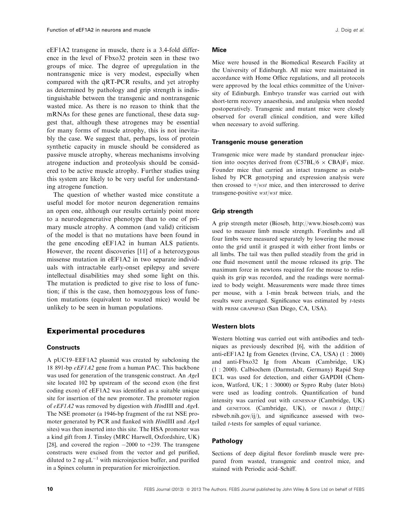eEF1A2 transgene in muscle, there is a 3.4-fold difference in the level of Fbxo32 protein seen in these two groups of mice. The degree of upregulation in the nontransgenic mice is very modest, especially when compared with the qRT-PCR results, and yet atrophy as determined by pathology and grip strength is indistinguishable between the transgenic and nontransgenic wasted mice. As there is no reason to think that the mRNAs for these genes are functional, these data suggest that, although these atrogenes may be essential for many forms of muscle atrophy, this is not inevitably the case. We suggest that, perhaps, loss of protein synthetic capacity in muscle should be considered as passive muscle atrophy, whereas mechanisms involving atrogene induction and proteolysis should be considered to be active muscle atrophy. Further studies using this system are likely to be very useful for understanding atrogene function.

The question of whether wasted mice constitute a useful model for motor neuron degeneration remains an open one, although our results certainly point more to a neurodegenerative phenotype than to one of primary muscle atrophy. A common (and valid) criticism of the model is that no mutations have been found in the gene encoding eEF1A2 in human ALS patients. However, the recent discoveries [11] of a heterozygous missense mutation in eEF1A2 in two separate individuals with intractable early-onset epilepsy and severe intellectual disabilities may shed some light on this. The mutation is predicted to give rise to loss of function; if this is the case, then homozygous loss of function mutations (equivalent to wasted mice) would be unlikely to be seen in human populations.

#### Experimental procedures

#### **Constructs**

A pUC19–EEF1A2 plasmid was created by subcloning the 18 891-bp eEF1A2 gene from a human PAC. This backbone was used for generation of the transgenic construct. An AgeI site located 102 bp upstream of the second exon (the first coding exon) of eEF1A2 was identified as a suitable unique site for insertion of the new promoter. The promoter region of eEF1A2 was removed by digestion with HindIII and AgeI. The NSE promoter (a 1946-bp fragment of the rat NSE promoter generated by PCR and flanked with HindIII and AgeI sites) was then inserted into this site. The HSA promoter was a kind gift from J. Tinsley (MRC Harwell, Oxfordshire, UK) [28], and covered the region  $-2000$  to  $+239$ . The transgene constructs were excised from the vector and gel purified, diluted to 2 ng· $\mu L^{-1}$  with microinjection buffer, and purified in a Spinex column in preparation for microinjection.

#### Mice

Mice were housed in the Biomedical Research Facility at the University of Edinburgh. All mice were maintained in accordance with Home Office regulations, and all protocols were approved by the local ethics committee of the University of Edinburgh. Embryo transfer was carried out with short-term recovery anaesthesia, and analgesia when needed postoperatively. Transgenic and mutant mice were closely observed for overall clinical condition, and were killed when necessary to avoid suffering.

#### Transgenic mouse generation

Transgenic mice were made by standard pronuclear injection into oocytes derived from  $(C57BL/6 \times CBA)F_1$  mice. Founder mice that carried an intact transgene as established by PCR genotyping and expression analysis were then crossed to  $+/wst$  mice, and then intercrossed to derive transgene-positive wst/wst mice.

#### Grip strength

A grip strength meter (Bioseb, http://www.bioseb.com) was used to measure limb muscle strength. Forelimbs and all four limbs were measured separately by lowering the mouse onto the grid until it grasped it with either front limbs or all limbs. The tail was then pulled steadily from the grid in one fluid movement until the mouse released its grip. The maximum force in newtons required for the mouse to relinquish its grip was recorded, and the readings were normalized to body weight. Measurements were made three times per mouse, with a 1-min break between trials, and the results were averaged. Significance was estimated by t-tests with PRISM GRAPHPAD (San Diego, CA, USA).

#### Western blots

Western blotting was carried out with antibodies and techniques as previously described [6], with the addition of anti-eEF1A2 Ig from Genetex (Irvine, CA, USA) (1 : 2000) and anti-Fbxo32 Ig from Abcam (Cambridge, UK) (1 : 2000). Calbiochem (Darmstadt, Germany) Rapid Step ECL was used for detection, and either GAPDH (Chemicon, Watford, UK; 1 : 30000) or Sypro Ruby (later blots) were used as loading controls. Quantification of band intensity was carried out with GENESNAP (Cambridge, UK) and GENETOOL (Cambridge, UK), or IMAGE J (http:// rsbweb.nih.gov/ij/), and significance assessed with twotailed t-tests for samples of equal variance.

#### Pathology

Sections of deep digital flexor forelimb muscle were prepared from wasted, transgenic and control mice, and stained with Periodic acid–Schiff.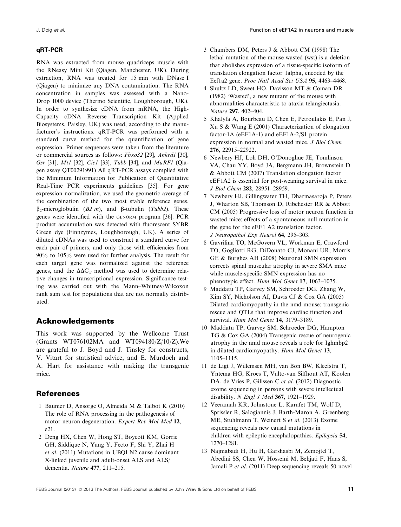#### qRT-PCR

RNA was extracted from mouse quadriceps muscle with the RNeasy Mini Kit (Qiagen, Manchester, UK). During extraction, RNA was treated for 15 min with DNase I (Qiagen) to minimize any DNA contamination. The RNA concentration in samples was assessed with a Nano-Drop 1000 device (Thermo Scientific, Loughborough, UK). In order to synthesize cDNA from mRNA, the High-Capacity cDNA Reverse Transcription Kit (Applied Biosystems, Paisley, UK) was used, according to the manufacturer's instructions. qRT-PCR was performed with a standard curve method for the quantification of gene expression. Primer sequences were taken from the literature or commercial sources as follows: Fbxo32 [29], Ankrd1 [30], Gsr [31], Mt1 [32], Cic1 [33], Tubb [34], and MuRF1 (Qiagen assay QT00291991) All qRT-PCR assays complied with the Minimum Information for Publication of Quantitative Real-Time PCR experiments guidelines [35]. For gene expression normalization, we used the geometric average of the combination of the two most stable reference genes,  $\beta_2$ -microglobulin (B2 m), and  $\beta$ -tubulin (Tubb2). These genes were identified with the GENORM program [36]. PCR product accumulation was detected with fluorescent SYBR Green dye (Finnzymes, Loughborough, UK). A series of diluted cDNAs was used to construct a standard curve for each pair of primers, and only those with efficiencies from 90% to 105% were used for further analysis. The result for each target gene was normalized against the reference genes, and the  $\Delta \Delta C_T$  method was used to determine relative changes in transcriptional expression. Significance testing was carried out with the Mann–Whitney/Wilcoxon rank sum test for populations that are not normally distributed.

#### Acknowledgements

This work was supported by the Wellcome Trust (Grants WT076102MA and WT094180/Z/10/Z).We are grateful to J. Boyd and J. Tinsley for constructs, V. Vitart for statistical advice, and E. Murdoch and A. Hart for assistance with making the transgenic mice.

#### References

- 1 Baumer D, Ansorge O, Almeida M & Talbot K (2010) The role of RNA processing in the pathogenesis of motor neuron degeneration. Expert Rev Mol Med 12, e21.
- 2 Deng HX, Chen W, Hong ST, Boycott KM, Gorrie GH, Siddique N, Yang Y, Fecto F, Shi Y, Zhai H et al. (2011) Mutations in UBQLN2 cause dominant X-linked juvenile and adult-onset ALS and ALS/ dementia. Nature 477, 211–215.
- 3 Chambers DM, Peters J & Abbott CM (1998) The lethal mutation of the mouse wasted (wst) is a deletion that abolishes expression of a tissue-specific isoform of translation elongation factor 1alpha, encoded by the Eef1a2 gene. Proc Natl Acad Sci USA 95, 4463–4468.
- 4 Shultz LD, Sweet HO, Davisson MT & Coman DR (1982) 'Wasted', a new mutant of the mouse with abnormalities characteristic to ataxia telangiectasia. Nature 297, 402–404.
- 5 Khalyfa A, Bourbeau D, Chen E, Petroulakis E, Pan J, Xu S & Wang E (2001) Characterization of elongation factor-1A (eEF1A-1) and eEF1A-2/S1 protein expression in normal and wasted mice. J Biol Chem 276, 22915–22922.
- 6 Newbery HJ, Loh DH, O'Donoghue JE, Tomlinson VA, Chau YY, Boyd JA, Bergmann JH, Brownstein D & Abbott CM (2007) Translation elongation factor eEF1A2 is essential for post-weaning survival in mice. J Biol Chem 282, 28951–28959.
- 7 Newbery HJ, Gillingwater TH, Dharmasaroja P, Peters J, Wharton SB, Thomson D, Ribchester RR & Abbott CM (2005) Progressive loss of motor neuron function in wasted mice: effects of a spontaneous null mutation in the gene for the eEF1 A2 translation factor. J Neuropathol Exp Neurol 64, 295–303.
- 8 Gavrilina TO, McGovern VL, Workman E, Crawford TO, Gogliotti RG, DiDonato CJ, Monani UR, Morris GE & Burghes AH (2008) Neuronal SMN expression corrects spinal muscular atrophy in severe SMA mice while muscle-specific SMN expression has no phenotypic effect. Hum Mol Genet 17, 1063–1075.
- 9 Maddatu TP, Garvey SM, Schroeder DG, Zhang W, Kim SY, Nicholson AI, Davis CJ & Cox GA (2005) Dilated cardiomyopathy in the nmd mouse: transgenic rescue and QTLs that improve cardiac function and survival. Hum Mol Genet 14, 3179-3189.
- 10 Maddatu TP, Garvey SM, Schroeder DG, Hampton TG & Cox GA (2004) Transgenic rescue of neurogenic atrophy in the nmd mouse reveals a role for Ighmbp2 in dilated cardiomyopathy. Hum Mol Genet 13, 1105–1115.
- 11 de Ligt J, Willemsen MH, van Bon BW, Kleefstra T, Yntema HG, Kroes T, Vulto-van Silfhout AT, Koolen DA, de Vries P, Gilissen C et al. (2012) Diagnostic exome sequencing in persons with severe intellectual disability. N Engl J Med 367, 1921–1929.
- 12 Veeramah KR, Johnstone L, Karafet TM, Wolf D, Sprissler R, Salogiannis J, Barth-Maron A, Greenberg ME, Stuhlmann T, Weinert S et al. (2013) Exome sequencing reveals new causal mutations in children with epileptic encephalopathies. Epilepsia 54, 1270–1281.
- 13 Najmabadi H, Hu H, Garshasbi M, Zemojtel T, Abedini SS, Chen W, Hosseini M, Behjati F, Haas S, Jamali P et al. (2011) Deep sequencing reveals 50 novel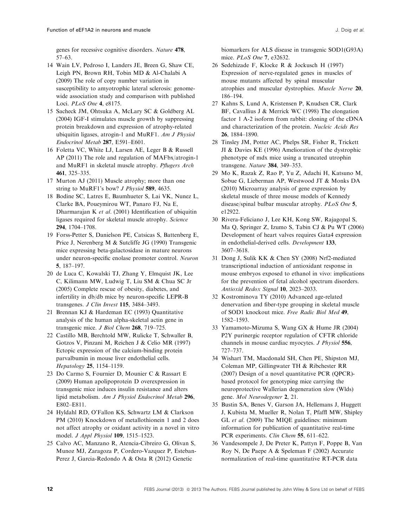genes for recessive cognitive disorders. Nature 478, 57–63.

- 14 Wain LV, Pedroso I, Landers JE, Breen G, Shaw CE, Leigh PN, Brown RH, Tobin MD & Al-Chalabi A (2009) The role of copy number variation in susceptibility to amyotrophic lateral sclerosis: genomewide association study and comparison with published Loci. PLoS One 4, e8175.
- 15 Sacheck JM, Ohtsuka A, McLary SC & Goldberg AL (2004) IGF-I stimulates muscle growth by suppressing protein breakdown and expression of atrophy-related ubiquitin ligases, atrogin-1 and MuRF1. Am J Physiol Endocrinol Metab 287, E591–E601.
- 16 Foletta VC, White LJ, Larsen AE, Leger B & Russell AP (2011) The role and regulation of MAFbx/atrogin-1 and MuRF1 in skeletal muscle atrophy. Pflugers Arch 461, 325–335.
- 17 Murton AJ (2011) Muscle atrophy; more than one string to MuRF1's bow? J Physiol 589, 4635.
- 18 Bodine SC, Latres E, Baumhueter S, Lai VK, Nunez L, Clarke BA, Poueymirou WT, Panaro FJ, Na E, Dharmarajan K et al. (2001) Identification of ubiquitin ligases required for skeletal muscle atrophy. Science 294, 1704–1708.
- 19 Forss-Petter S, Danielson PE, Catsicas S, Battenberg E, Price J, Nerenberg M & Sutcliffe JG (1990) Transgenic mice expressing beta-galactosidase in mature neurons under neuron-specific enolase promoter control. Neuron 5, 187–197.
- 20 de Luca C, Kowalski TJ, Zhang Y, Elmquist JK, Lee C, Kilimann MW, Ludwig T, Liu SM & Chua SC Jr (2005) Complete rescue of obesity, diabetes, and infertility in db/db mice by neuron-specific LEPR-B transgenes. J Clin Invest 115, 3484-3493.
- 21 Brennan KJ & Hardeman EC (1993) Quantitative analysis of the human alpha-skeletal actin gene in transgenic mice. J Biol Chem 268, 719-725.
- 22 Castillo MB, Berchtold MW, Rulicke T, Schwaller B, Gotzos V, Pinzani M, Reichen J & Celio MR (1997) Ectopic expression of the calcium-binding protein parvalbumin in mouse liver endothelial cells. Hepatology 25, 1154–1159.
- 23 Do Carmo S, Fournier D, Mounier C & Rassart E (2009) Human apolipoprotein D overexpression in transgenic mice induces insulin resistance and alters lipid metabolism. Am J Physiol Endocrinol Metab 296, E802–E811.
- 24 Hyldahl RD, O'Fallon KS, Schwartz LM & Clarkson PM (2010) Knockdown of metallothionein 1 and 2 does not affect atrophy or oxidant activity in a novel in vitro model. J Appl Physiol 109, 1515–1523.
- 25 Calvo AC, Manzano R, Atencia-Cibreiro G, Olivan S, Munoz MJ, Zaragoza P, Cordero-Vazquez P, Esteban-Perez J, Garcia-Redondo A & Osta R (2012) Genetic

biomarkers for ALS disease in transgenic SOD1(G93A) mice. PLoS One 7, e32632.

- 26 Sedehizade F, Klocke R & Jockusch H (1997) Expression of nerve-regulated genes in muscles of mouse mutants affected by spinal muscular atrophies and muscular dystrophies. Muscle Nerve 20, 186–194.
- 27 Kahns S, Lund A, Kristensen P, Knudsen CR, Clark BF, Cavallius J & Merrick WC (1998) The elongation factor 1 A-2 isoform from rabbit: cloning of the cDNA and characterization of the protein. Nucleic Acids Res 26, 1884–1890.
- 28 Tinsley JM, Potter AC, Phelps SR, Fisher R, Trickett JI & Davies KE (1996) Amelioration of the dystrophic phenotype of mdx mice using a truncated utrophin transgene. Nature 384, 349–353.
- 29 Mo K, Razak Z, Rao P, Yu Z, Adachi H, Katsuno M, Sobue G, Lieberman AP, Westwood JT & Monks DA (2010) Microarray analysis of gene expression by skeletal muscle of three mouse models of Kennedy disease/spinal bulbar muscular atrophy. PLoS One 5, e12922.
- 30 Rivera-Feliciano J, Lee KH, Kong SW, Rajagopal S, Ma Q, Springer Z, Izumo S, Tabin CJ & Pu WT (2006) Development of heart valves requires Gata4 expression in endothelial-derived cells. Development 133, 3607–3618.
- 31 Dong J, Sulik KK & Chen SY (2008) Nrf2-mediated transcriptional induction of antioxidant response in mouse embryos exposed to ethanol in vivo: implications for the prevention of fetal alcohol spectrum disorders. Antioxid Redox Signal 10, 2023–2033.
- 32 Kostrominova TY (2010) Advanced age-related denervation and fiber-type grouping in skeletal muscle of SOD1 knockout mice. Free Radic Biol Med 49, 1582–1593.
- 33 Yamamoto-Mizuma S, Wang GX & Hume JR (2004) P2Y purinergic receptor regulation of CFTR chloride channels in mouse cardiac myocytes. J Physiol 556, 727–737.
- 34 Wishart TM, Macdonald SH, Chen PE, Shipston MJ, Coleman MP, Gillingwater TH & Ribchester RR (2007) Design of a novel quantitative PCR (QPCR) based protocol for genotyping mice carrying the neuroprotective Wallerian degeneration slow (Wlds) gene. Mol Neurodegener 2, 21.
- 35 Bustin SA, Benes V, Garson JA, Hellemans J, Huggett J, Kubista M, Mueller R, Nolan T, Pfaffl MW, Shipley GL et al. (2009) The MIQE guidelines: minimum information for publication of quantitative real-time PCR experiments. Clin Chem 55, 611–622.
- 36 Vandesompele J, De Preter K, Pattyn F, Poppe B, Van Roy N, De Paepe A & Speleman F (2002) Accurate normalization of real-time quantitative RT-PCR data